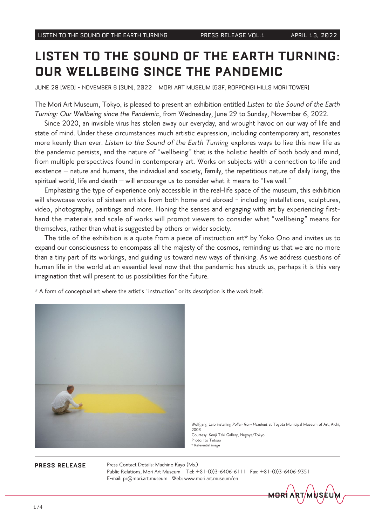# **LISTEN TO THE SOUND OF THE EARTH TURNING: PUR WELLBEING SINCE THE PANDEMIC**

JUNE 29 [WED] - NOVEMBER 6 [SUN], 2022 MORI ART MUSEUM [53F, ROPPONGI HILLS MORI TOWER]

The Mori Art Museum, Tokyo, is pleased to present an exhibition entitled Listen to the Sound of the Earth Turning: Our Wellbeing since the Pandemic, from Wednesday, June 29 to Sunday, November 6, 2022.

Since 2020, an invisible virus has stolen away our everyday, and wrought havoc on our way of life and state of mind. Under these circumstances much artistic expression, including contemporary art, resonates more keenly than ever. Listen to the Sound of the Earth Turning explores ways to live this new life as the pandemic persists, and the nature of "wellbeing" that is the holistic health of both body and mind, from multiple perspectives found in contemporary art. Works on subjects with a connection to life and existence – nature and humans, the individual and society, family, the repetitious nature of daily living, the spiritual world, life and death  $-$  will encourage us to consider what it means to "live well."

Emphasizing the type of experience only accessible in the real-life space of the museum, this exhibition will showcase works of sixteen artists from both home and abroad - including installations, sculptures, hand the materials and scale of works will prompt viewers to consider what "wellbeing" means for video, photography, paintings and more. Honing the senses and engaging with art by experiencing firstthemselves, rather than what is suggested by others or wider society.

The title of the exhibition is a quote from a piece of instruction art\* by Yoko Ono and invites us to expand our consciousness to encompass all the majesty of the cosmos, reminding us that we are no more than a tiny part of its workings, and guiding us toward new ways of thinking. As we address questions of human life in the world at an essential level now that the pandemic has struck us, perhaps it is this very imagination that will present to us possibilities for the future.

\* A form of conceptual art where the artist's "instruction" or its description is the work itself.



Wolfgang Laib installing Pollen from Hazelnut at Toyota Municipal Museum of Art, Aichi, 2003 Courtesy: Kenji Taki Gallery, Nagoya/Tokyo Photo: Ito Tetsuo  $*$  Referential image

**PRESS RELEASE** Press Contact Details: Machino Kayo (Ms.) Public Relations, Mori Art Museum Tel: +81-(0)3-6406-6111 Fax: +81-(0)3-6406-9351 E-mail: pr@mori.art.museum Web: www.mori.art.museum/en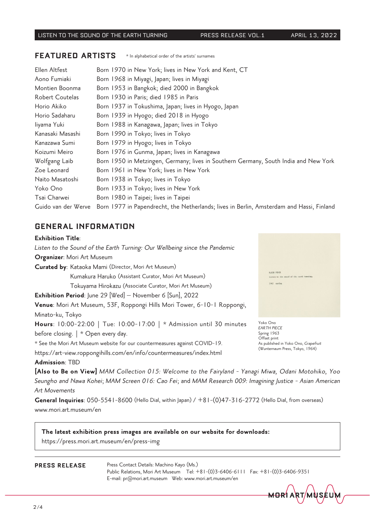### **FEATURED ARTISTS** \* In alphabetical order of the artists' surnames

| Ellen Altfest       | Born 1970 in New York; lives in New York and Kent, CT                                    |
|---------------------|------------------------------------------------------------------------------------------|
| Aono Fumiaki        | Born 1968 in Miyagi, Japan; lives in Miyagi                                              |
| Montien Boonma      | Born 1953 in Bangkok; died 2000 in Bangkok                                               |
| Robert Coutelas     | Born 1930 in Paris; died 1985 in Paris                                                   |
| Horio Akiko         | Born 1937 in Tokushima, Japan; lives in Hyogo, Japan                                     |
| Horio Sadaharu      | Born 1939 in Hyogo; died 2018 in Hyogo                                                   |
| liyama Yuki         | Born 1988 in Kanagawa, Japan; lives in Tokyo                                             |
| Kanasaki Masashi    | Born 1990 in Tokyo; lives in Tokyo                                                       |
| Kanazawa Sumi       | Born 1979 in Hyogo; lives in Tokyo                                                       |
| Koizumi Meiro       | Born 1976 in Gunma, Japan; lives in Kanagawa                                             |
| Wolfgang Laib       | Born 1950 in Metzingen, Germany; lives in Southern Germany, South India and New York     |
| Zoe Leonard         | Born 1961 in New York; lives in New York                                                 |
| Naito Masatoshi     | Born 1938 in Tokyo; lives in Tokyo                                                       |
| Yoko Ono            | Born 1933 in Tokyo; lives in New York                                                    |
| Tsai Charwei        | Born 1980 in Taipei; lives in Taipei                                                     |
| Guido van der Werve | Born 1977 in Papendrecht, the Netherlands; lives in Berlin, Amsterdam and Hassi, Finland |

### **GENERAL INFORMATION**

### **Exhibition Title:**

Listen to the Sound of the Earth Turning: Our Wellbeing since the Pandemic Organizer: Mori Art Museum Curated by: Kataoka Mami (Director, Mori Art Museum) Kumakura Haruko (Assistant Curator, Mori Art Museum)  $1963$  spring Tokuyama Hirokazu (Associate Curator, Mori Art Museum) **Exhibition Period:** June 29  $[Wed]$  – November 6  $[Sun]$ , 2022 Venue: Mori Art Museum, 53F, Roppongi Hills Mori Tower, 6-10-1 Roppongi, Minato-ku, Tokyo Yoko Ono Hours: 10:00-22:00 | Tue: 10:00-17:00 | \* Admission until 30 minutes EARTH PIECE before closing.  $\vert *$  Open every day. Spring 1963 Offset print \* See the Mori Art Museum website for our countermeasures against COVID-19. (Wunternaum Press, Tokyo, 1964) https://art-view.roppongihills.com/en/info/countermeasures/index.html

As published in Yoko Ono, Grapefruit

### Admission: TBD

[Also to Be on View] MAM Collection 015: Welcome to the Fairyland - Yanagi Miwa, Odani Motohiko, Yoo Seungho and Nawa Kohei; MAM Screen 016: Cao Fei; and MAM Research 009: Imagining Justice - Asian American **Art Movements** 

General Inquiries:  $050-5541-8600$  (Hello Dial, within Japan)  $/ +81-(0)47-316-2772$  (Hello Dial, from overseas) www.mori.art.museum/en

### The latest exhibition press images are available on our website for downloads: https://press.mori.art.museum/en/press-img

**PRESS RELEASE** Press Contact Details: Machino Kayo (Ms.) Public Relations, Mori Art Museum Tel: +81-(0)3-6406-6111 Fax: +81-(0)3-6406-9351 E-mail: pr@mori.art.museum Web: www.mori.art.museum/en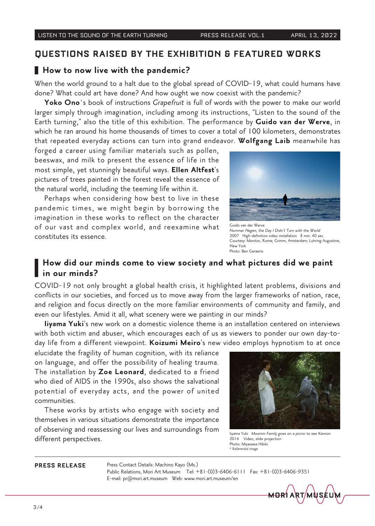# **OUESTIONS RAISED BY THE EXHIBITION & FEATURED WORKS**

### How to now live with the pandemic?

When the world ground to a halt due to the global spread of COVID-19, what could humans have done? What could art have done? And how ought we now coexist with the pandemic?

Yoko Ono's book of instructions Grapefruit is full of words with the power to make our world larger simply through imagination, including among its instructions, "Listen to the sound of the Earth turning," also the title of this exhibition. The performance by Guido van der Werve, in which he ran around his home thousands of times to cover a total of 100 kilometers, demonstrates that repeated everyday actions can turn into grand endeavor. Wolfgang Laib meanwhile has

forged a career using familiar materials such as pollen, beeswax, and milk to present the essence of life in the most simple, yet stunningly beautiful ways. Ellen Altfest's pictures of trees painted in the forest reveal the essence of the natural world, including the teeming life within it.

Perhaps when considering how best to live in these pandemic times, we might begin by borrowing the imagination in these works to reflect on the character of our vast and complex world, and reexamine what constitutes its essence.



Nummer Negen, the Day I Didn't Turn with the World 2007 High-definition video installation 8 min. 40 sec. Courtesy: Monitor, Rome; Grimm, Amsterdam; Luhring Augustine, New York Photo: Ben Geraerts

# How did our minds come to view society and what pictures did we paint in our minds?

COVID-19 not only brought a global health crisis, it highlighted latent problems, divisions and conflicts in our societies, and forced us to move away from the larger frameworks of nation, race, and religion and focus directly on the more familiar environments of community and family, and even our lifestyles. Amid it all, what scenery were we painting in our minds?

liyama Yuki's new work on a domestic violence theme is an installation centered on interviews day life from a different viewpoint. Koizumi Meiro's new video employs hypnotism to at once with both victim and abuser, which encourages each of us as viewers to ponder our own day-to-

elucidate the fragility of human cognition, with its reliance on language, and offer the possibility of healing trauma. The installation by Zoe Leonard, dedicated to a friend who died of AIDS in the 1990s, also shows the salvational potential of everyday acts, and the power of united .communities

These works by artists who engage with society and themselves in various situations demonstrate the importance of observing and reassessing our lives and surroundings from CH ODSENTING GITCHOSSESSING OUT INVESTORES SURFAMILITY III III<sub>yama Yuki</sub> Moomin Family goes on a picnic to see Kannon<br>different perspectives. 2014 Video, slide projection



 $2014$  Video, slide projection Photo: Miyazawa Hibiki  $*$  Referential image

**PRESS RELEASE** Press Contact Details: Machino Kayo (Ms.)

Public Relations, Mori Art Museum Tel: +81-(0)3-6406-6111 Fax: +81-(0)3-6406-9351 E-mail: pr@mori.art.museum Web: www.mori.art.museum/en

<del>MOR</del>I ART/M